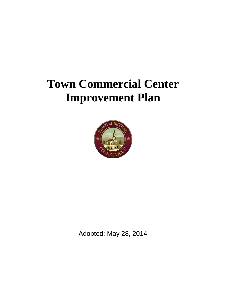# **Town Commercial Center Improvement Plan**



Adopted: May 28, 2014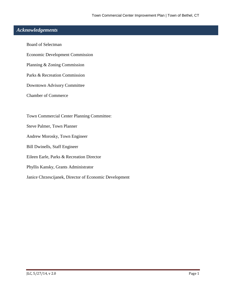## **:** *Acknowledgements*

Board of Selectman Economic Development Commission Planning & Zoning Commission Parks & Recreation Commission Downtown Advisory Committee Chamber of Commerce Town Commercial Center Planning Committee: Steve Palmer, Town Planner Andrew Morosky, Town Engineer Bill Dwinells, Staff Engineer Eileen Earle, Parks & Recreation Director Phyllis Kansky, Grants Administrator Janice Chrzescijanek, Director of Economic Development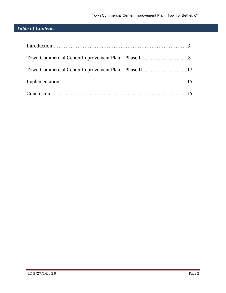# *Table of Contents*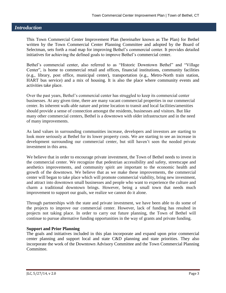## *Introduction*

This Town Commercial Center Improvement Plan (hereinafter known as The Plan) for Bethel written by the Town Commercial Center Planning Committee and adopted by the Board of Selectman, sets forth a road map for improving Bethel's commercial center. It provides detailed initiatives for achieving the defined goals to improve Bethel's commercial center.

Bethel's commercial center, also referred to as "Historic Downtown Bethel" and "Village Center", is home to commercial retail and offices, financial institutions, community facilities (e.g., library, post office, municipal center), transportation (e.g., Metro-North train station, HART bus service) and a mix of housing. It is also the place where community events and activities take place.

Over the past years, Bethel's commercial center has struggled to keep its commercial center businesses. At any given time, there are many vacant commercial properties in our commercial center. Its inherent walk-able nature and prime location to transit and local facilities/amenities should provide a sense of connection amongst the residents, businesses and visitors. But like many other commercial centers, Bethel is a downtown with older infrastructure and in the need of many improvements.

As land values in surrounding communities increase, developers and investors are starting to look more seriously at Bethel for its lower property costs. We are starting to see an increase in development surrounding our commercial center, but still haven't seen the needed private investment in this area.

We believe that in order to encourage private investment, the Town of Bethel needs to invest in the commercial center. We recognize that pedestrian accessibility and safety, streetscape and aesthetics improvements, and community spirit are important to the economic health and growth of the downtown. We believe that as we make these improvements, the commercial center will began to take place which will promote commercial viability, bring new investment, and attract into downtown small businesses and people who want to experience the culture and charm a traditional downtown brings. However, being a small town that needs much improvement to support our goals, we realize we cannot do it alone.

Through partnerships with the state and private investment, we have been able to do some of the projects to improve our commercial center. However, lack of funding has resulted in projects not taking place. In order to carry out future planning, the Town of Bethel will continue to pursue alternative funding opportunities in the way of grants and private funding.

#### **Support and Prior Planning**

The goals and initiatives included in this plan incorporate and expand upon prior commercial center planning and support local and state C&D planning and state priorities. They also incorporate the work of the Downtown Advisory Committee and the Town Commercial Planning Committee.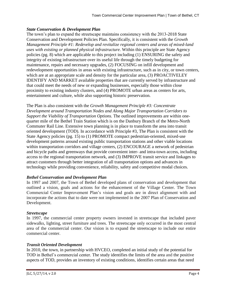## *State Conservation & Development Plan*

The town's plan to expand the streetscape maintains consistency with the 2013-2018 State Conservation and Development Policies Plan. Specifically, it is consistent with the *Growth Management Principle #1: Redevelop and revitalize regional centers and areas of mixed-land uses with existing or planned physical infrastructure.* Within this principle are State Agency policies (pg. 8) which are applicable to this project including (1) ENSURING the safety and integrity of existing infrastructure over its useful life through the timely budgeting for maintenance, repairs and necessary upgrades, (2) FOCUSING on infill development and redevelopment opportunities in areas with existing infrastructure, such as in city, or town centers, which are at an appropriate scale and density for the particular area, (3) PROACTIVELEY IDENTIFY AND MARKET available properties that are currently served by infrastructure and that could meet the needs of new or expanding businesses, especially those within close proximity to existing industry clusters, and (4) PROMOTE urban areas as centers for arts, entertainment and culture, while also supporting historic preservation.

The Plan is also consistent with the *Growth Management Principle #3: Concentrate Development around Transportation Nodes and Along Major Transportation Corridors to Support the Viability of Transportation Options.* The outlined improvements are within onequarter mile of the Bethel Train Station which is on the Danbury Branch of the Metro-North Commuter Rail Line. Extensive town planning is in place to transform the area into transit oriented development (TOD). In accordance with Principle #3, The Plan is consistent with the State Agency policies (pg. 15) to (1) PROMOTE compact pedestrian-oriented, mixed-use development patterns around existing public transportation stations and other viable locations within transportation corridors and village centers, (2) ENCOURAGE a network of pedestrian and bicycle paths and greenways that provide convenient inter- and intra-town access, including access to the regional transportation network, and (3) IMPROVE transit service and linkages to attract customers through better integration of all transportation options and advances in technology while providing convenience, reliability, safety and competitive modal choices.

## *Bethel Conservation and Development Plan*

In 1997 and 2007, the Town of Bethel developed plans of conservation and development that outlined a vision, goals and actions for the enhancement of the Village Center. The Town Commercial Center Improvement Plan's vision and goals are in direct alignment with and incorporate the actions that to date were not implemented in the 2007 Plan of Conservation and Development.

## *Streetscape*

In 1997, the commercial center property owners invested in streetscape that included paver sidewalks, lighting, street furniture and trees. The streetscape only occurred in the most central area of the commercial center. Our vision is to expand the streetscape to include our entire commercial center.

## *Transit Oriented Development*

In 2010, the town, in partnership with HVCEO, completed an initial study of the potential for TOD in Bethel's commercial center. The study identifies the limits of the area and the positive aspects of TOD, provides an inventory of existing conditions, identifies certain areas that need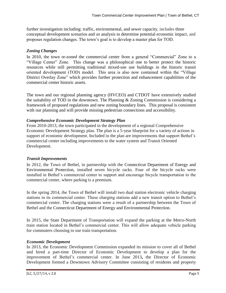further investigation including: traffic, environmental, and sewer capacity, includes three conceptual development scenarios and an analysis to determine potential economic impact, and proposes regulation changes. The town's goal is to develop a master plan for TOD.

## *Zoning Changes*

In 2010, the town re-zoned the commercial center from a general "Commercial" Zone to a "Village Center" Zone. This change was a philosophical one to better protect the historic resources while still permitting traditional mixed-use use buildings in the historic transit oriented development (TOD) model. This area is also now contained within the "Village District Overlay Zone" which provides further protection and enhancement capabilities of the commercial center historic assets.

The town and our regional planning agency (HVCEO) and CTDOT have extensively studied the suitability of TOD in the downtown. The Planning & Zoning Commission is considering a framework of proposed regulations and new zoning boundary lines. This proposal is consistent with our planning and will provide missing pedestrian connections and accessibility.

## *Comprehensive Economic Development Strategy Plan*

From 2010-2013, the town participated in the development of a regional Comprehensive Economic Development Strategy plan. The plan is a 5‐year blueprint for a variety of actions in support of economic development. Included in the plan are improvements that support Bethel's commercial center including improvements to the water system and Transit Oriented Development.

## *Transit Improvements*

In 2012, the Town of Bethel, in partnership with the Connecticut Department of Energy and Environmental Protection, installed seven bicycle racks. Four of the bicycle racks were installed in Bethel's commercial center to support and encourage bicycle transportation to the commercial center, where parking is a premium.

In the spring 2014, the Town of Bethel will install two dual station electronic vehicle charging stations in its commercial center. These charging stations add a new transit option to Bethel's commercial center. The charging stations were a result of a partnership between the Town of Bethel and the Connecticut Department of Energy and Environmental Protection.

In 2015, the State Department of Transportation will expand the parking at the Metro-North train station located in Bethel's commercial center. This will allow adequate vehicle parking for commuters choosing to use train transportation.

## *Economic Development*

In 2013, the Economic Development Commission expanded its mission to cover all of Bethel and hired a part-time Director of Economic Development to develop a plan for the improvement of Bethel's commercial center. In June 2013**,** the Director of Economic Development formed a Downtown Advisory Committee consisting of residents and property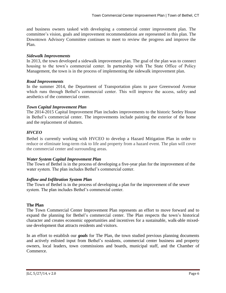and business owners tasked with developing a commercial center improvement plan. The committee's vision, goals and improvement recommendations are represented in this plan. The Downtown Advisory Committee continues to meet to review the progress and improve the Plan.

#### *Sidewalk Improvements*

In 2013, the town developed a sidewalk improvement plan. The goal of the plan was to connect housing to the town's commercial center. In partnership with The State Office of Policy Management, the town is in the process of implementing the sidewalk improvement plan.

## *Road Improvements*

In the summer 2014, the Department of Transportation plans to pave Greenwood Avenue which runs through Bethel's commercial center. This will improve the access, safety and aesthetics of the commercial center.

## *Town Capital Improvement Plan*

The 2014-2015 Capital Improvement Plan includes improvements to the historic Seeley House in Bethel's commercial center. The improvements include painting the exterior of the home and the replacement of shutters.

## *HVCEO*

Bethel is currently working with HVCEO to develop a Hazard Mitigation Plan in order to reduce or eliminate long-term risk to life and property from a hazard event. The plan will cover the commercial center and surrounding areas.

## *Water System Capital Improvement Plan*

The Town of Bethel is in the process of developing a five-year plan for the improvement of the water system. The plan includes Bethel's commercial center.

## *Inflow and Infiltration System Plan*

The Town of Bethel is in the process of developing a plan for the improvement of the sewer system. The plan includes Bethel's commercial center.

## **The Plan**

The Town Commercial Center Improvement Plan represents an effort to move forward and to expand the planning for Bethel's commercial center. The Plan respects the town's historical character and creates economic opportunities and incentives for a sustainable, walk-able mixeduse development that attracts residents and visitors.

In an effort to establish our *goals* for The Plan, the town studied previous planning documents and actively enlisted input from Bethel's residents, commercial center business and property owners, local leaders, town commissions and boards, municipal staff, and the Chamber of Commerce.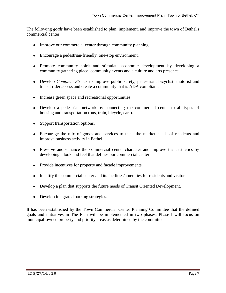The following *goals* have been established to plan, implement, and improve the town of Bethel's commercial center:

- Improve our commercial center through community planning.
- Encourage a pedestrian-friendly, one-stop environment.
- Promote community spirit and stimulate economic development by developing a community gathering place, community events and a culture and arts presence.
- Develop *Complete Streets* to improve public safety, pedestrian, bicyclist, motorist and transit rider access and create a community that is ADA compliant.
- Increase green space and recreational opportunities.
- Develop a pedestrian network by connecting the commercial center to all types of housing and transportation (bus, train, bicycle, cars).
- Support transportation options.
- Encourage the mix of goods and services to meet the market needs of residents and improve business activity in Bethel.
- Preserve and enhance the commercial center character and improve the aesthetics by developing a look and feel that defines our commercial center.
- Provide incentives for property and facade improvements.
- Identify the commercial center and its facilities/amenities for residents and visitors.
- Develop a plan that supports the future needs of Transit Oriented Development.
- Develop integrated parking strategies.

It has been established by the Town Commercial Center Planning Committee that the defined goals and initiatives in The Plan will be implemented in two phases. Phase I will focus on municipal-owned property and priority areas as determined by the committee.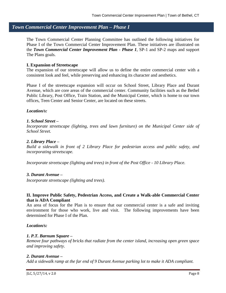## *Town Commercial Center Improvement Plan – Phase I*

The Town Commercial Center Planning Committee has outlined the following initiatives for Phase I of the Town Commercial Center Improvement Plan. These initiatives are illustrated on the *Town Commercial Center Improvement Plan - Phase 1*, SP-1 and SP-2 maps and support The Plans goals.

#### **I. Expansion of Streetscape**

The expansion of our streetscape will allow us to define the entire commercial center with a consistent look and feel, while preserving and enhancing its character and aesthetics.

Phase I of the streetscape expansion will occur on School Street, Library Place and Durant Avenue, which are core areas of the commercial center. Community facilities such as the Bethel Public Library, Post Office, Train Station, and the Municipal Center, which is home to our town offices, Teen Center and Senior Center, are located on these streets.

#### *Location/s:*

#### *1. School Street –*

*Incorporate streetscape (lighting, trees and lawn furniture) on the Municipal Center side of School Street.* 

#### *2. Library Place –*

*Build a sidewalk in front of 2 Library Place for pedestrian access and public safety, and incorporating streetscape.*

*Incorporate streetscape (lighting and trees) in front of the Post Office - 10 Library Place.* 

#### *3. Durant Avenue –*

*Incorporate streetscape (lighting and trees).*

#### **II. Improve Public Safety, Pedestrian Access, and Create a Walk-able Commercial Center that is ADA Compliant**

An area of focus for the Plan is to ensure that our commercial center is a safe and inviting environment for those who work, live and visit. The following improvements have been determined for Phase I of the Plan.

#### *Location/s:*

#### *1. P.T. Barnum Square –*

*Remove four pathways of bricks that radiate from the center island, increasing open green space and improving safety.* 

#### *2. Durant Avenue –*

*Add a sidewalk ramp at the far end of 9 Durant Avenue parking lot to make it ADA compliant.*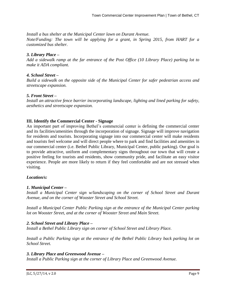*Install a bus shelter at the Municipal Center lawn on Durant Avenue.* 

*Note/Funding: The town will be applying for a grant, in Spring 2015, from HART for a customized bus shelter.* 

#### *3. Library Place –*

*Add a sidewalk ramp at the far entrance of the Post Office (10 Library Place) parking lot to make it ADA compliant.* 

#### *4. School Street –*

*Build a sidewalk on the opposite side of the Municipal Center for safer pedestrian access and streetscape expansion.* 

#### *5. Front Street –*

*Install an attractive fence barrier incorporating landscape, lighting and lined parking for safety, aesthetics and streetscape expansion.*

#### **III. Identify the Commercial Center - Signage**

An important part of improving Bethel's commercial center is defining the commercial center and its facilities/amenities through the incorporation of signage. Signage will improve navigation for residents and tourists. Incorporating signage into our commercial center will make residents and tourists feel welcome and will direct people where to park and find facilities and amenities in our commercial center (i.e. Bethel Public Library, Municipal Center, public parking). Our goal is to provide attractive, uniform and complementary signs throughout our town that will create a positive feeling for tourists and residents, show community pride, and facilitate an easy visitor experience. People are more likely to return if they feel comfortable and are not stressed when visiting.

#### *Location/s:*

#### *1. Municipal Center –*

*Install a Municipal Center sign w/landscaping on the corner of School Street and Durant Avenue, and on the corner of Wooster Street and School Street.* 

*Install a Municipal Center Public Parking sign at the entrance of the Municipal Center parking lot on Wooster Street, and at the corner of Wooster Street and Main Street.*

#### *2. School Street and Library Place –*

*Install a Bethel Public Library sign on corner of School Street and Library Place.*

*Install a Public Parking sign at the entrance of the Bethel Public Library back parking lot on School Street.*

#### *3. Library Place and Greenwood Avenue –*

*Install a Public Parking sign at the corner of Library Place and Greenwood Avenue.*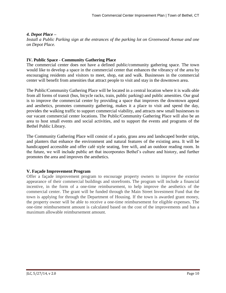#### *4. Depot Place –*

*Install a Public Parking sign at the entrances of the parking lot on Greenwood Avenue and one on Depot Place.*

#### **IV. Public Space - Community Gathering Place**

The commercial center does not have a defined public/community gathering space. The town would like to develop a space in the commercial center that enhances the vibrancy of the area by encouraging residents and visitors to meet, shop, eat and walk. Businesses in the commercial center will benefit from amenities that attract people to visit and stay in the downtown area.

The Public/Community Gathering Place will be located in a central location where it is walk-able from all forms of transit (bus, bicycle racks, train, public parking) and public amenities. Our goal is to improve the commercial center by providing a space that improves the downtown appeal and aesthetics, promotes community gathering, makes it a place to visit and spend the day, provides the walking traffic to support commercial viability, and attracts new small businesses to our vacant commercial center locations. The Public/Community Gathering Place will also be an area to host small events and social activities, and to support the events and programs of the Bethel Public Library.

The Community Gathering Place will consist of a patio, grass area and landscaped border strips, and planters that enhance the environment and natural features of the existing area. It will be handicapped accessible and offer café style seating, free wifi, and an outdoor reading room. In the future, we will include public art that incorporates Bethel's culture and history, and further promotes the area and improves the aesthetics.

#### **V. Façade Improvement Program**

Offer a façade improvement program to encourage property owners to improve the exterior appearance of their commercial buildings and storefronts. The program will include a financial incentive, in the form of a one-time reimbursement, to help improve the aesthetics of the commercial center. The grant will be funded through the Main Street Investment Fund that the town is applying for through the Department of Housing. If the town is awarded grant money, the property owner will be able to receive a one-time reimbursement for eligible expenses. The one-time reimbursement amount is calculated based on the cost of the improvements and has a maximum allowable reimbursement amount.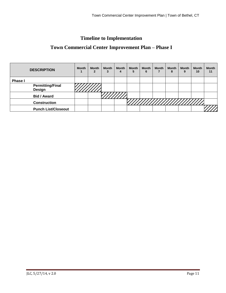# **Timeline to Implementation**

# **Town Commercial Center Improvement Plan – Phase I**

| <b>DESCRIPTION</b> |                            | <b>Month</b> | <b>Month</b><br>2 | <b>Month</b> | <b>Month</b><br>4 | <b>Month</b><br>5 | <b>Month</b><br>6 | <b>Month</b> | <b>Month</b><br>8 | Month<br>9 | <b>Month</b><br>10 | <b>Month</b><br>11 |
|--------------------|----------------------------|--------------|-------------------|--------------|-------------------|-------------------|-------------------|--------------|-------------------|------------|--------------------|--------------------|
| <b>Phase I</b>     |                            |              |                   |              |                   |                   |                   |              |                   |            |                    |                    |
| Design             | <b>Permitting/Final</b>    |              |                   |              |                   |                   |                   |              |                   |            |                    |                    |
| <b>Bid / Award</b> |                            |              |                   |              |                   |                   |                   |              |                   |            |                    |                    |
|                    | <b>Construction</b>        |              |                   |              |                   |                   |                   |              |                   |            | MINININIININ       |                    |
|                    | <b>Punch List/Closeout</b> |              |                   |              |                   |                   |                   |              |                   |            |                    |                    |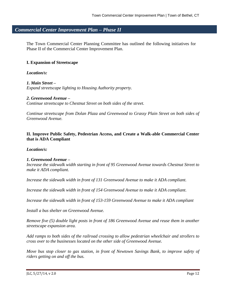## *Commercial Center Improvement Plan – Phase II*

The Town Commercial Center Planning Committee has outlined the following initiatives for Phase II of the Commercial Center Improvement Plan.

#### **I. Expansion of Streetscape**

*Location/s:*

*1. Main Street – Expand streetscape lighting to Housing Authority property.*

#### *2. Greenwood Avenue –*

*Continue streetscape to Chestnut Street on both sides of the street.*

*Continue streetscape from Dolan Plaza and Greenwood to Grassy Plain Street on both sides of Greenwood Avenue.*

#### **II. Improve Public Safety, Pedestrian Access, and Create a Walk-able Commercial Center that is ADA Compliant**

*Location/s:*

#### *1. Greenwood Avenue –*

*Increase the sidewalk width starting in front of 95 Greenwood Avenue towards Chestnut Street to make it ADA compliant.*

*Increase the sidewalk width in front of 131 Greenwood Avenue to make it ADA compliant.*

*Increase the sidewalk width in front of 154 Greenwood Avenue to make it ADA compliant.*

*Increase the sidewalk width in front of 153-159 Greenwood Avenue to make it ADA compliant*

*Install a bus shelter on Greenwood Avenue.*

*Remove five (5) double light posts in front of 186 Greenwood Avenue and reuse them in another streetscape expansion area.*

*Add ramps to both sides of the railroad crossing to allow pedestrian wheelchair and strollers to cross over to the businesses located on the other side of Greenwood Avenue.*

*Move bus stop closer to gas station, in front of Newtown Savings Bank, to improve safety of riders getting on and off the bus.*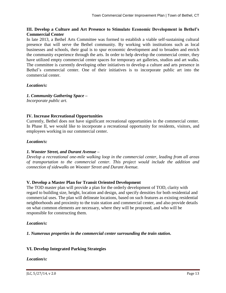#### **III. Develop a Culture and Art Presence to Stimulate Economic Development in Bethel's Commercial Center**

In late 2013, a Bethel Arts Committee was formed to establish a viable self-sustaining cultural presence that will serve the Bethel community. By working with institutions such as local businesses and schools, their goal is to spur economic development and to broaden and enrich the community experience through the arts. In order to help develop the commercial center, they have utilized empty commercial center spaces for temporary art galleries, studios and art walks. The committee is currently developing other initiatives to develop a culture and arts presence in Bethel's commercial center. One of their initiatives is to incorporate public art into the commercial center.

#### *Location/s:*

*1. Community Gathering Space – Incorporate public art.*

#### **IV. Increase Recreational Opportunities**

Currently, Bethel does not have significant recreational opportunities in the commercial center. In Phase II, we would like to incorporate a recreational opportunity for residents, visitors, and employees working in our commercial center.

#### *Location/s:*

#### *1. Wooster Street, and Durant Avenue –*

*Develop a recreational one-mile walking loop in the commercial center, leading from all areas of transportation to the commercial center. This project would include the addition and connection of sidewalks on Wooster Street and Durant Avenue.*

#### **V. Develop a Master Plan for Transit Oriented Development**

The TOD master plan will provide a plan for the orderly development of TOD, clarity with regard to building size, height, location and design, and specify densities for both residential and commercial uses. The plan will delineate locations, based on such features as existing residential neighborhoods and proximity to the train station and commercial center, and also provide details on what common elements are necessary, where they will be proposed, and who will be responsible for constructing them.

#### *Location/s:*

*1. Numerous properties in the commercial center surrounding the train station.*

#### **VI. Develop Integrated Parking Strategies**

#### *Location/s:*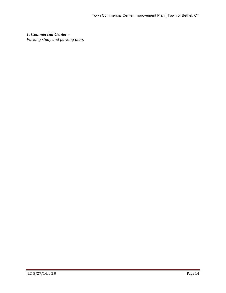*1. Commercial Center – Parking study and parking plan.*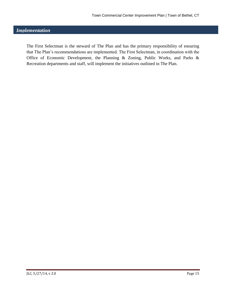## *Implementation*

The First Selectman is the steward of The Plan and has the primary responsibility of ensuring that The Plan's recommendations are implemented. The First Selectman, in coordination with the Office of Economic Development, the Planning & Zoning, Public Works, and Parks & Recreation departments and staff, will implement the initiatives outlined in The Plan.